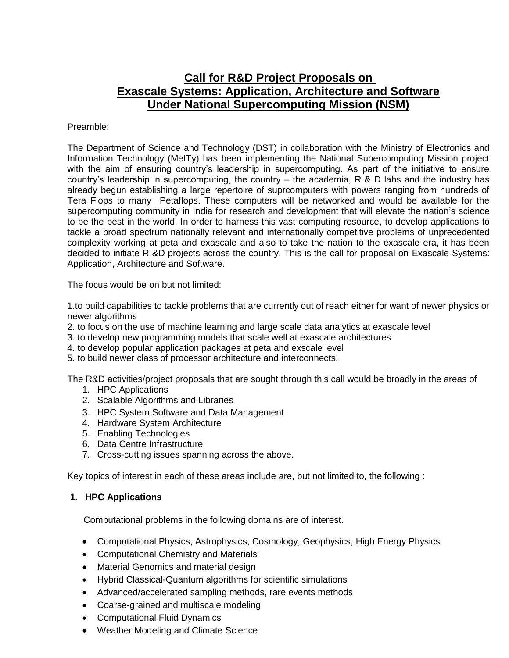# **Call for R&D Project Proposals on Exascale Systems: Application, Architecture and Software Under National Supercomputing Mission (NSM)**

#### Preamble:

The Department of Science and Technology (DST) in collaboration with the Ministry of Electronics and Information Technology (MeITy) has been implementing the National Supercomputing Mission project with the aim of ensuring country's leadership in supercomputing. As part of the initiative to ensure country's leadership in supercomputing, the country – the academia, R & D labs and the industry has already begun establishing a large repertoire of suprcomputers with powers ranging from hundreds of Tera Flops to many Petaflops. These computers will be networked and would be available for the supercomputing community in India for research and development that will elevate the nation's science to be the best in the world. In order to harness this vast computing resource, to develop applications to tackle a broad spectrum nationally relevant and internationally competitive problems of unprecedented complexity working at peta and exascale and also to take the nation to the exascale era, it has been decided to initiate R &D projects across the country. This is the call for proposal on Exascale Systems: Application, Architecture and Software.

The focus would be on but not limited:

1.to build capabilities to tackle problems that are currently out of reach either for want of newer physics or newer algorithms

- 2. to focus on the use of machine learning and large scale data analytics at exascale level
- 3. to develop new programming models that scale well at exascale architectures
- 4. to develop popular application packages at peta and exscale level
- 5. to build newer class of processor architecture and interconnects.

The R&D activities/project proposals that are sought through this call would be broadly in the areas of

- 1. HPC Applications
- 2. Scalable Algorithms and Libraries
- 3. HPC System Software and Data Management
- 4. Hardware System Architecture
- 5. Enabling Technologies
- 6. Data Centre Infrastructure
- 7. Cross-cutting issues spanning across the above.

Key topics of interest in each of these areas include are, but not limited to, the following :

#### **1. HPC Applications**

Computational problems in the following domains are of interest.

- Computational Physics, Astrophysics, Cosmology, Geophysics, High Energy Physics
- Computational Chemistry and Materials
- Material Genomics and material design
- Hybrid Classical-Quantum algorithms for scientific simulations
- Advanced/accelerated sampling methods, rare events methods
- Coarse-grained and multiscale modeling
- Computational Fluid Dynamics
- Weather Modeling and Climate Science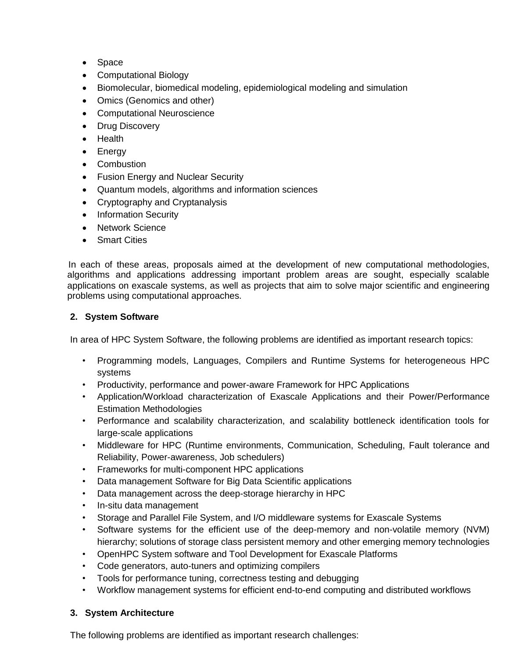- Space
- Computational Biology
- Biomolecular, biomedical modeling, epidemiological modeling and simulation
- Omics (Genomics and other)
- Computational Neuroscience
- Drug Discovery
- Health
- Energy
- Combustion
- Fusion Energy and Nuclear Security
- Quantum models, algorithms and information sciences
- Cryptography and Cryptanalysis
- Information Security
- Network Science
- Smart Cities

 In each of these areas, proposals aimed at the development of new computational methodologies, algorithms and applications addressing important problem areas are sought, especially scalable applications on exascale systems, as well as projects that aim to solve major scientific and engineering problems using computational approaches.

#### **2. System Software**

In area of HPC System Software, the following problems are identified as important research topics:

- Programming models, Languages, Compilers and Runtime Systems for heterogeneous HPC systems
- Productivity, performance and power-aware Framework for HPC Applications
- Application/Workload characterization of Exascale Applications and their Power/Performance Estimation Methodologies
- Performance and scalability characterization, and scalability bottleneck identification tools for large-scale applications
- Middleware for HPC (Runtime environments, Communication, Scheduling, Fault tolerance and Reliability, Power-awareness, Job schedulers)
- Frameworks for multi-component HPC applications
- Data management Software for Big Data Scientific applications
- Data management across the deep-storage hierarchy in HPC
- In-situ data management
- Storage and Parallel File System, and I/O middleware systems for Exascale Systems
- Software systems for the efficient use of the deep-memory and non-volatile memory (NVM) hierarchy; solutions of storage class persistent memory and other emerging memory technologies
- OpenHPC System software and Tool Development for Exascale Platforms
- Code generators, auto-tuners and optimizing compilers
- Tools for performance tuning, correctness testing and debugging
- Workflow management systems for efficient end-to-end computing and distributed workflows

### **3. System Architecture**

The following problems are identified as important research challenges: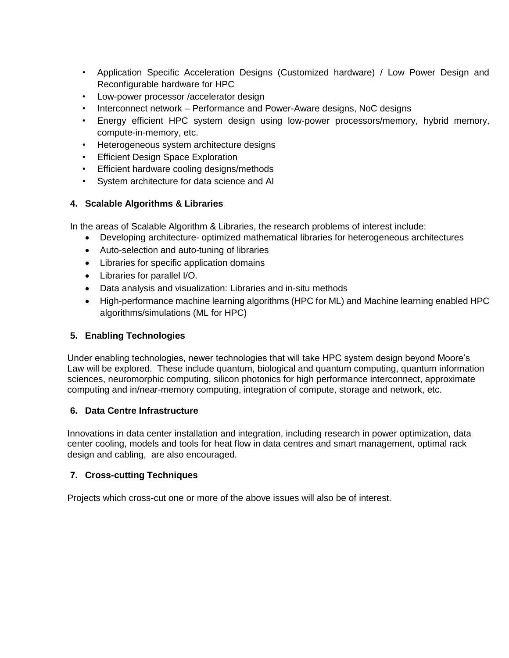- Application Specific Acceleration Designs (Customized hardware) / Low Power Design and Reconfigurable hardware for HPC
- Low-power processor /accelerator design
- Interconnect network Performance and Power-Aware designs, NoC designs
- Energy efficient HPC system design using low-power processors/memory, hybrid memory, compute-in-memory, etc.
- Heterogeneous system architecture designs
- Efficient Design Space Exploration
- Efficient hardware cooling designs/methods
- System architecture for data science and AI

#### **4. Scalable Algorithms & Libraries**

In the areas of Scalable Algorithm & Libraries, the research problems of interest include:

- Developing architecture- optimized mathematical libraries for heterogeneous architectures
- Auto-selection and auto-tuning of libraries
- Libraries for specific application domains
- Libraries for parallel I/O.
- Data analysis and visualization: Libraries and in-situ methods
- High-performance machine learning algorithms (HPC for ML) and Machine learning enabled HPC algorithms/simulations (ML for HPC)

#### **5. Enabling Technologies**

Under enabling technologies, newer technologies that will take HPC system design beyond Moore's Law will be explored. These include quantum, biological and quantum computing, quantum information sciences, neuromorphic computing, silicon photonics for high performance interconnect, approximate computing and in/near-memory computing, integration of compute, storage and network, etc.

#### **6. Data Centre Infrastructure**

Innovations in data center installation and integration, including research in power optimization, data center cooling, models and tools for heat flow in data centres and smart management, optimal rack design and cabling, are also encouraged.

#### **7. Cross-cutting Techniques**

Projects which cross-cut one or more of the above issues will also be of interest.